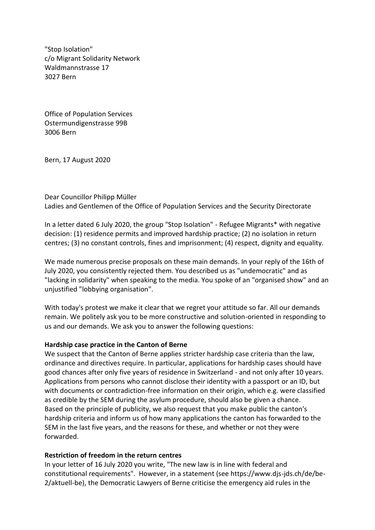"Stop Isolation" c/o Migrant Solidarity Network Waldmannstrasse 17 3027 Bern

Office of Population Services Ostermundigenstrasse 99B 3006 Bern

Bern, 17 August 2020

Dear Councillor Philipp Müller Ladies and Gentlemen of the Office of Population Services and the Security Directorate

In a letter dated 6 July 2020, the group "Stop Isolation" - Refugee Migrants\* with negative decision: (1) residence permits and improved hardship practice; (2) no isolation in return centres; (3) no constant controls, fines and imprisonment; (4) respect, dignity and equality.

We made numerous precise proposals on these main demands. In your reply of the 16th of July 2020, you consistently rejected them. You described us as "undemocratic" and as "lacking in solidarity" when speaking to the media. You spoke of an "organised show" and an unjustified "lobbying organisation".

With today's protest we make it clear that we regret your attitude so far. All our demands remain. We politely ask you to be more constructive and solution-oriented in responding to us and our demands. We ask you to answer the following questions:

## **Hardship case practice in the Canton of Berne**

We suspect that the Canton of Berne applies stricter hardship case criteria than the law, ordinance and directives require. In particular, applications for hardship cases should have good chances after only five years of residence in Switzerland - and not only after 10 years. Applications from persons who cannot disclose their identity with a passport or an ID, but with documents or contradiction-free information on their origin, which e.g. were classified as credible by the SEM during the asylum procedure, should also be given a chance. Based on the principle of publicity, we also request that you make public the canton's hardship criteria and inform us of how many applications the canton has forwarded to the SEM in the last five years, and the reasons for these, and whether or not they were forwarded.

## **Restriction of freedom in the return centres**

In your letter of 16 July 2020 you write, "The new law is in line with federal and constitutional requirements". However, in a statement (see https://www.djs-jds.ch/de/be-2/aktuell-be), the Democratic Lawyers of Berne criticise the emergency aid rules in the